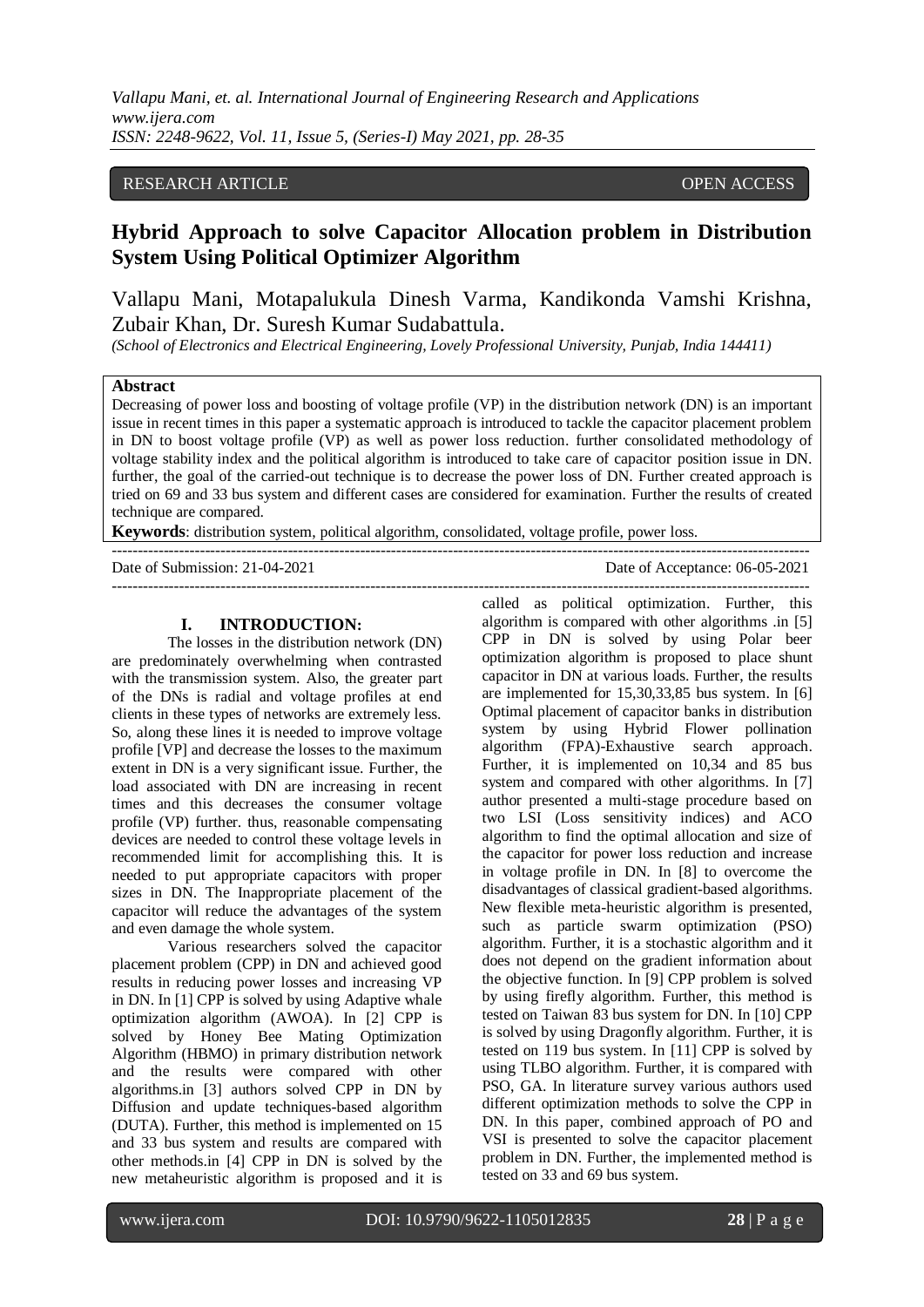*Vallapu Mani, et. al. International Journal of Engineering Research and Applications www.ijera.com ISSN: 2248-9622, Vol. 11, Issue 5, (Series-I) May 2021, pp. 28-35*

## RESEARCH ARTICLE **OPEN ACCESS**

# **Hybrid Approach to solve Capacitor Allocation problem in Distribution System Using Political Optimizer Algorithm**

Vallapu Mani, Motapalukula Dinesh Varma, Kandikonda Vamshi Krishna, Zubair Khan, Dr. Suresh Kumar Sudabattula.

*(School of Electronics and Electrical Engineering, Lovely Professional University, Punjab, India 144411)*

## **Abstract**

Decreasing of power loss and boosting of voltage profile (VP) in the distribution network (DN) is an important issue in recent times in this paper a systematic approach is introduced to tackle the capacitor placement problem in DN to boost voltage profile (VP) as well as power loss reduction. further consolidated methodology of voltage stability index and the political algorithm is introduced to take care of capacitor position issue in DN. further, the goal of the carried-out technique is to decrease the power loss of DN. Further created approach is tried on 69 and 33 bus system and different cases are considered for examination. Further the results of created technique are compared.

---------------------------------------------------------------------------------------------------------------------------------------

---------------------------------------------------------------------------------------------------------------------------------------

**Keywords**: distribution system, political algorithm, consolidated, voltage profile, power loss.

## **I. INTRODUCTION:**

The losses in the distribution network (DN) are predominately overwhelming when contrasted with the transmission system. Also, the greater part of the DNs is radial and voltage profiles at end clients in these types of networks are extremely less. So, along these lines it is needed to improve voltage profile [VP] and decrease the losses to the maximum extent in DN is a very significant issue. Further, the load associated with DN are increasing in recent times and this decreases the consumer voltage profile (VP) further. thus, reasonable compensating devices are needed to control these voltage levels in recommended limit for accomplishing this. It is needed to put appropriate capacitors with proper sizes in DN. The Inappropriate placement of the capacitor will reduce the advantages of the system and even damage the whole system.

Various researchers solved the capacitor placement problem (CPP) in DN and achieved good results in reducing power losses and increasing VP in DN. In [1] CPP is solved by using Adaptive whale optimization algorithm (AWOA). In [2] CPP is solved by Honey Bee Mating Optimization Algorithm (HBMO) in primary distribution network and the results were compared with other algorithms.in [3] authors solved CPP in DN by Diffusion and update techniques-based algorithm (DUTA). Further, this method is implemented on 15 and 33 bus system and results are compared with other methods.in [4] CPP in DN is solved by the new metaheuristic algorithm is proposed and it is

called as political optimization. Further, this algorithm is compared with other algorithms .in [5] CPP in DN is solved by using Polar beer optimization algorithm is proposed to place shunt capacitor in DN at various loads. Further, the results are implemented for 15,30,33,85 bus system. In [6] Optimal placement of capacitor banks in distribution system by using Hybrid Flower pollination algorithm (FPA)-Exhaustive search approach. Further, it is implemented on 10,34 and 85 bus system and compared with other algorithms. In [7] author presented a multi-stage procedure based on two LSI (Loss sensitivity indices) and ACO algorithm to find the optimal allocation and size of the capacitor for power loss reduction and increase in voltage profile in DN. In [8] to overcome the disadvantages of classical gradient-based algorithms. New flexible meta-heuristic algorithm is presented, such as particle swarm optimization (PSO) algorithm. Further, it is a stochastic algorithm and it does not depend on the gradient information about the objective function. In [9] CPP problem is solved by using firefly algorithm. Further, this method is tested on Taiwan 83 bus system for DN. In [10] CPP is solved by using Dragonfly algorithm. Further, it is tested on 119 bus system. In [11] CPP is solved by using TLBO algorithm. Further, it is compared with PSO, GA. In literature survey various authors used different optimization methods to solve the CPP in DN. In this paper, combined approach of PO and VSI is presented to solve the capacitor placement problem in DN. Further, the implemented method is tested on 33 and 69 bus system.

Date of Submission: 21-04-2021 Date of Acceptance: 06-05-2021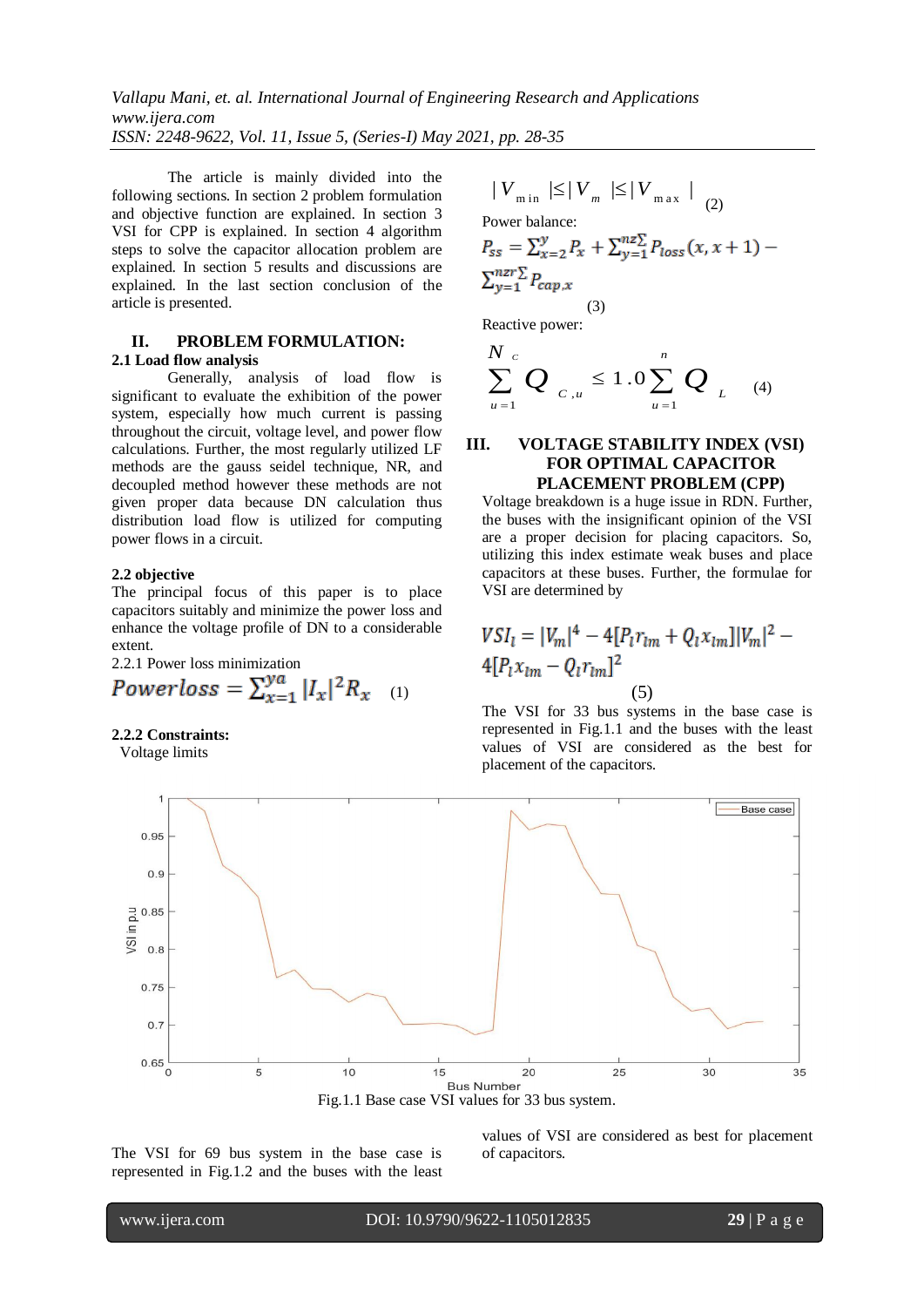*Vallapu Mani, et. al. International Journal of Engineering Research and Applications www.ijera.com ISSN: 2248-9622, Vol. 11, Issue 5, (Series-I) May 2021, pp. 28-35*

The article is mainly divided into the following sections. In section 2 problem formulation and objective function are explained. In section 3 VSI for CPP is explained. In section 4 algorithm steps to solve the capacitor allocation problem are explained. In section 5 results and discussions are explained. In the last section conclusion of the article is presented.

#### **II. PROBLEM FORMULATION: 2.1 Load flow analysis**

Generally, analysis of load flow is significant to evaluate the exhibition of the power system, especially how much current is passing throughout the circuit, voltage level, and power flow calculations. Further, the most regularly utilized LF methods are the gauss seidel technique, NR, and decoupled method however these methods are not given proper data because DN calculation thus distribution load flow is utilized for computing power flows in a circuit.

#### **2.2 objective**

The principal focus of this paper is to place capacitors suitably and minimize the power loss and enhance the voltage profile of DN to a considerable extent.

2.2.1 Power loss minimization

$$
Powerloss = \sum_{x=1}^{ya} |I_x|^2 R_{x} \quad (1)
$$

#### **2.2.2 Constraints:**

Voltage limits

$$
|V_{\min}|\leq |V_m| \leq |V_{\max}|
$$
  
Power balance:  

$$
P_{ss} = \sum_{x=2}^{y} P_x + \sum_{y=1}^{nz} P_{loss}(x, x+1) -
$$

$$
\sum_{y=1}^{n z r} P_{cap,x}
$$

 (3) Reactive power:

$$
\sum_{u=1}^{N_c} Q_{c,u} \le 1.0 \sum_{u=1}^{n} Q_{L}^{(4)}
$$

## **III. VOLTAGE STABILITY INDEX (VSI) FOR OPTIMAL CAPACITOR PLACEMENT PROBLEM (CPP)**

Voltage breakdown is a huge issue in RDN. Further, the buses with the insignificant opinion of the VSI are a proper decision for placing capacitors. So, utilizing this index estimate weak buses and place capacitors at these buses. Further, the formulae for VSI are determined by

$$
VSI_{l} = |V_{m}|^{4} - 4[P_{l}r_{lm} + Q_{l}x_{lm}]|V_{m}|^{2} - 4[P_{l}x_{lm} - Q_{l}r_{lm}]^{2}
$$
\n(5)

The VSI for 33 bus systems in the base case is represented in Fig.1.1 and the buses with the least values of VSI are considered as the best for placement of the capacitors.



The VSI for 69 bus system in the base case is represented in Fig.1.2 and the buses with the least values of VSI are considered as best for placement of capacitors.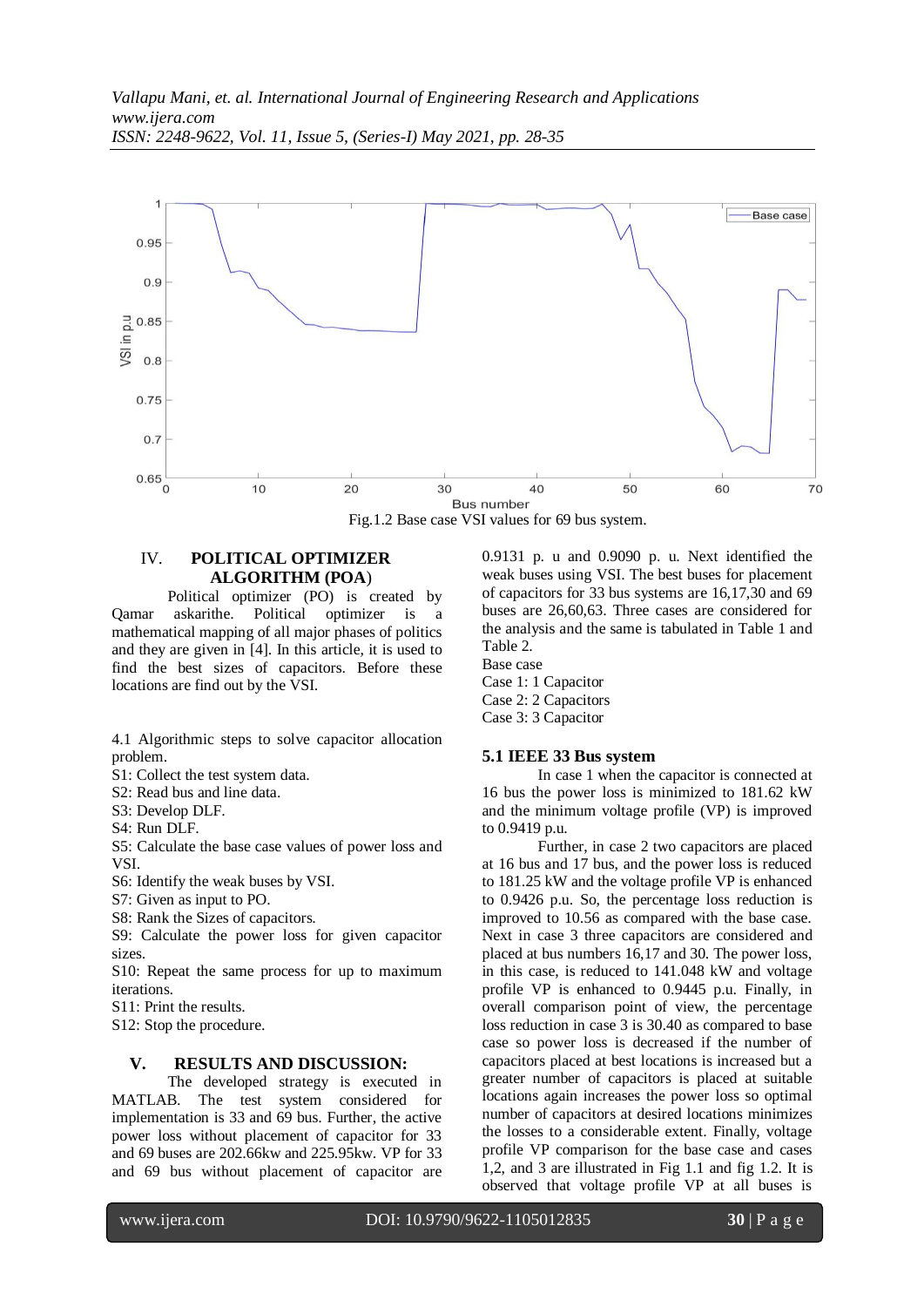

Fig.1.2 Base case VSI values for 69 bus system.

# IV. **POLITICAL OPTIMIZER ALGORITHM (POA**)

Political optimizer (PO) is created by Qamar askarithe. Political optimizer is a mathematical mapping of all major phases of politics and they are given in [4]. In this article, it is used to find the best sizes of capacitors. Before these locations are find out by the VSI.

4.1 Algorithmic steps to solve capacitor allocation problem.

S1: Collect the test system data.

S2: Read bus and line data.

S3: Develop DLF.

S4: Run DLF.

S5: Calculate the base case values of power loss and VSI.

S6: Identify the weak buses by VSI.

S7: Given as input to PO.

S8: Rank the Sizes of capacitors.

S9: Calculate the power loss for given capacitor sizes.

S10: Repeat the same process for up to maximum iterations.

S11: Print the results.

S12: Stop the procedure.

### **V. RESULTS AND DISCUSSION:**

The developed strategy is executed in MATLAB. The test system considered for implementation is 33 and 69 bus. Further, the active power loss without placement of capacitor for 33 and 69 buses are 202.66kw and 225.95kw. VP for 33 and 69 bus without placement of capacitor are 0.9131 p. u and 0.9090 p. u. Next identified the weak buses using VSI. The best buses for placement of capacitors for 33 bus systems are 16,17,30 and 69 buses are 26,60,63. Three cases are considered for the analysis and the same is tabulated in Table 1 and Table 2.

Base case Case 1: 1 Capacitor Case 2: 2 Capacitors Case 3: 3 Capacitor

## **5.1 IEEE 33 Bus system**

In case 1 when the capacitor is connected at 16 bus the power loss is minimized to 181.62 kW and the minimum voltage profile (VP) is improved to 0.9419 p.u.

Further, in case 2 two capacitors are placed at 16 bus and 17 bus, and the power loss is reduced to 181.25 kW and the voltage profile VP is enhanced to 0.9426 p.u. So, the percentage loss reduction is improved to 10.56 as compared with the base case. Next in case 3 three capacitors are considered and placed at bus numbers 16,17 and 30. The power loss, in this case, is reduced to 141.048 kW and voltage profile VP is enhanced to 0.9445 p.u. Finally, in overall comparison point of view, the percentage loss reduction in case 3 is 30.40 as compared to base case so power loss is decreased if the number of capacitors placed at best locations is increased but a greater number of capacitors is placed at suitable locations again increases the power loss so optimal number of capacitors at desired locations minimizes the losses to a considerable extent. Finally, voltage profile VP comparison for the base case and cases 1,2, and 3 are illustrated in Fig 1.1 and fig 1.2. It is observed that voltage profile VP at all buses is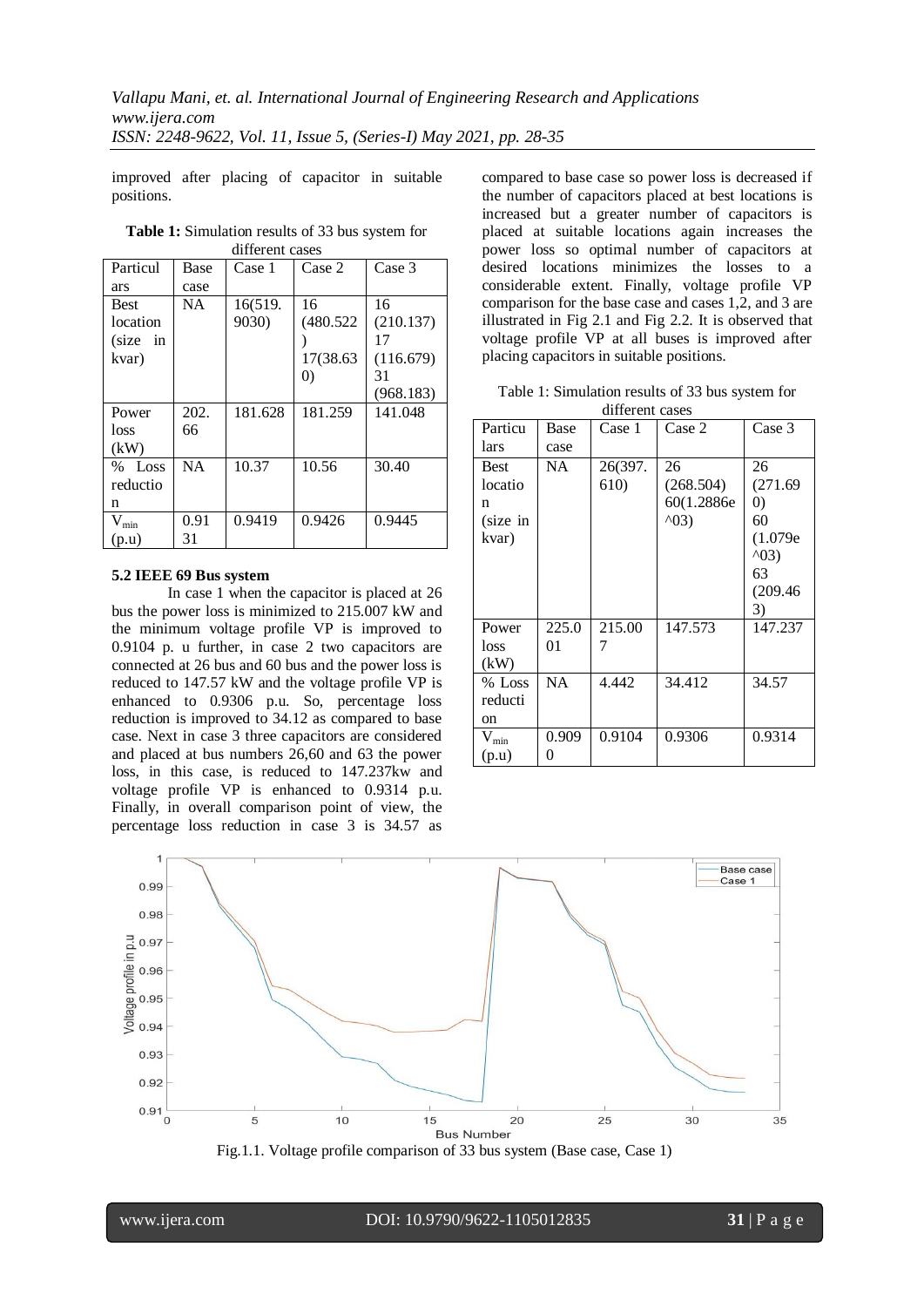improved after placing of capacitor in suitable positions.

| umo vin vasts       |           |         |                   |           |  |  |
|---------------------|-----------|---------|-------------------|-----------|--|--|
| Particul            | Base      | Case 1  | Case 2            | Case 3    |  |  |
| ars                 | case      |         |                   |           |  |  |
| <b>Best</b>         | NA.       | 16(519. | 16                | 16        |  |  |
| location            |           | 9030)   | (480.522)         | (210.137) |  |  |
| $(size \text{ in }$ |           |         |                   | 17        |  |  |
| kvar)               |           |         | 17(38.63)         | (116.679) |  |  |
|                     |           |         | $\left( 0\right)$ | 31        |  |  |
|                     |           |         |                   | (968.183) |  |  |
| Power               | 202.      | 181.628 | 181.259           | 141.048   |  |  |
| loss                | 66        |         |                   |           |  |  |
| (kW)                |           |         |                   |           |  |  |
| % Loss              | <b>NA</b> | 10.37   | 10.56             | 30.40     |  |  |
| reductio            |           |         |                   |           |  |  |
| n                   |           |         |                   |           |  |  |
| $V_{min}$           | 0.91      | 0.9419  | 0.9426            | 0.9445    |  |  |
| (p.u)               | 31        |         |                   |           |  |  |

**Table 1:** Simulation results of 33 bus system for different cases

## **5.2 IEEE 69 Bus system**

In case 1 when the capacitor is placed at 26 bus the power loss is minimized to 215.007 kW and the minimum voltage profile VP is improved to 0.9104 p. u further, in case 2 two capacitors are connected at 26 bus and 60 bus and the power loss is reduced to 147.57 kW and the voltage profile VP is enhanced to 0.9306 p.u. So, percentage loss reduction is improved to 34.12 as compared to base case. Next in case 3 three capacitors are considered and placed at bus numbers 26,60 and 63 the power loss, in this case, is reduced to 147.237kw and voltage profile VP is enhanced to 0.9314 p.u. Finally, in overall comparison point of view, the percentage loss reduction in case 3 is 34.57 as

compared to base case so power loss is decreased if the number of capacitors placed at best locations is increased but a greater number of capacitors is placed at suitable locations again increases the power loss so optimal number of capacitors at desired locations minimizes the losses to a considerable extent. Finally, voltage profile VP comparison for the base case and cases 1,2, and 3 are illustrated in Fig 2.1 and Fig 2.2. It is observed that voltage profile VP at all buses is improved after placing capacitors in suitable positions.

Table 1: Simulation results of 33 bus system for

| different cases |           |         |                |                   |  |  |  |
|-----------------|-----------|---------|----------------|-------------------|--|--|--|
| Particu         | Base      | Case 1  | Case 2         | Case 3            |  |  |  |
| lars            | case      |         |                |                   |  |  |  |
| <b>Best</b>     | NA        | 26(397. | 26             | 26                |  |  |  |
| locatio         |           | 610)    | (268.504)      | (271.69)          |  |  |  |
| n               |           |         | 60(1.2886e)    | $\left( 0\right)$ |  |  |  |
| (size in        |           |         | $^{\wedge}03)$ | 60                |  |  |  |
| kvar)           |           |         |                | (1.079e)          |  |  |  |
|                 |           |         |                | $^{\wedge}03)$    |  |  |  |
|                 |           |         |                | 63                |  |  |  |
|                 |           |         |                | (209.46)          |  |  |  |
|                 |           |         |                | 3)                |  |  |  |
| Power           | 225.0     | 215.00  | 147.573        | 147.237           |  |  |  |
| loss            | 01        | 7       |                |                   |  |  |  |
| (kW)            |           |         |                |                   |  |  |  |
| $%$ Loss        | <b>NA</b> | 4.442   | 34.412         | 34.57             |  |  |  |
| reducti         |           |         |                |                   |  |  |  |
| on              |           |         |                |                   |  |  |  |
| $V_{min}$       | 0.909     | 0.9104  | 0.9306         | 0.9314            |  |  |  |
| (p.u)           | 0         |         |                |                   |  |  |  |

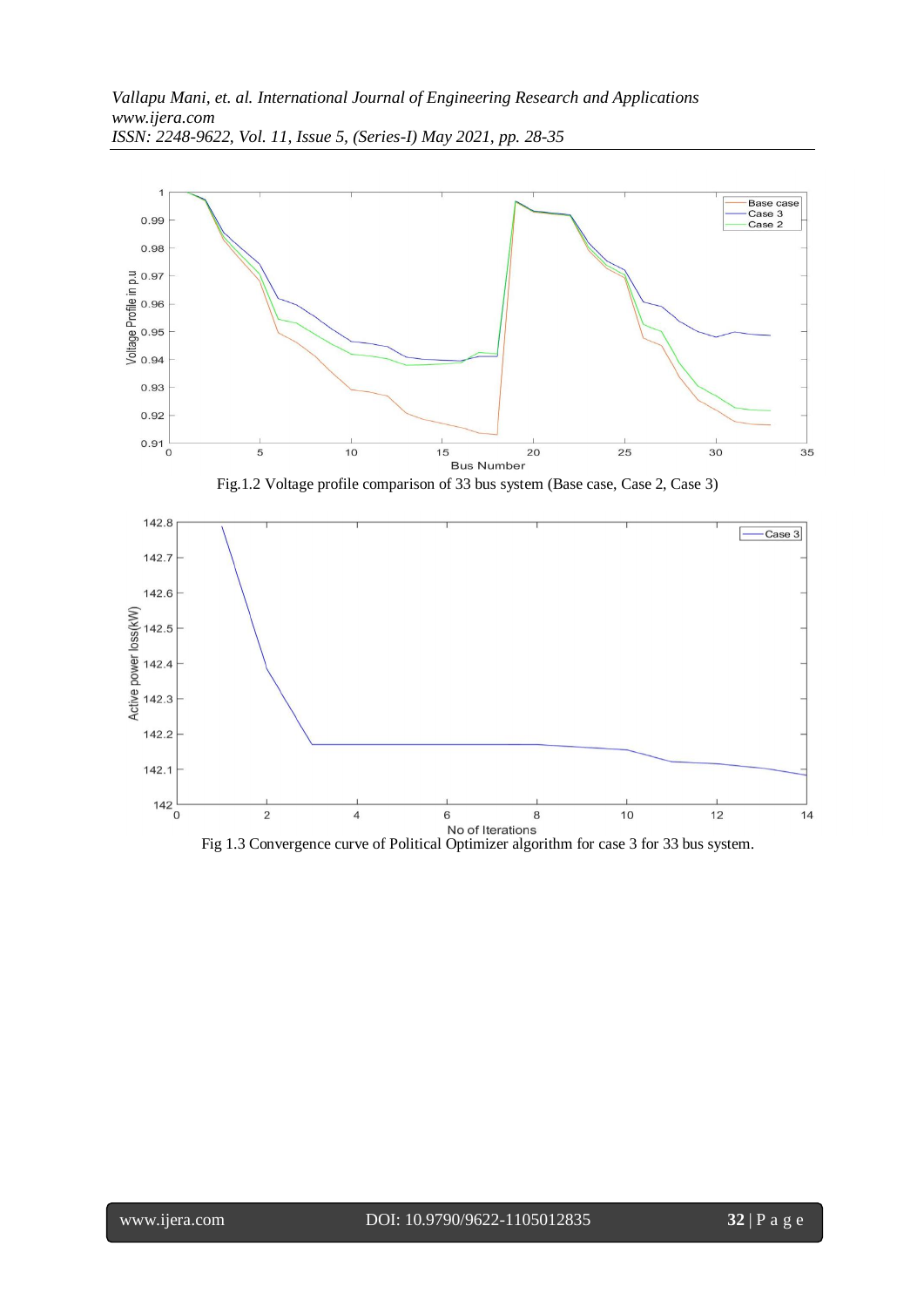

Fig.1.2 Voltage profile comparison of 33 bus system (Base case, Case 2, Case 3)

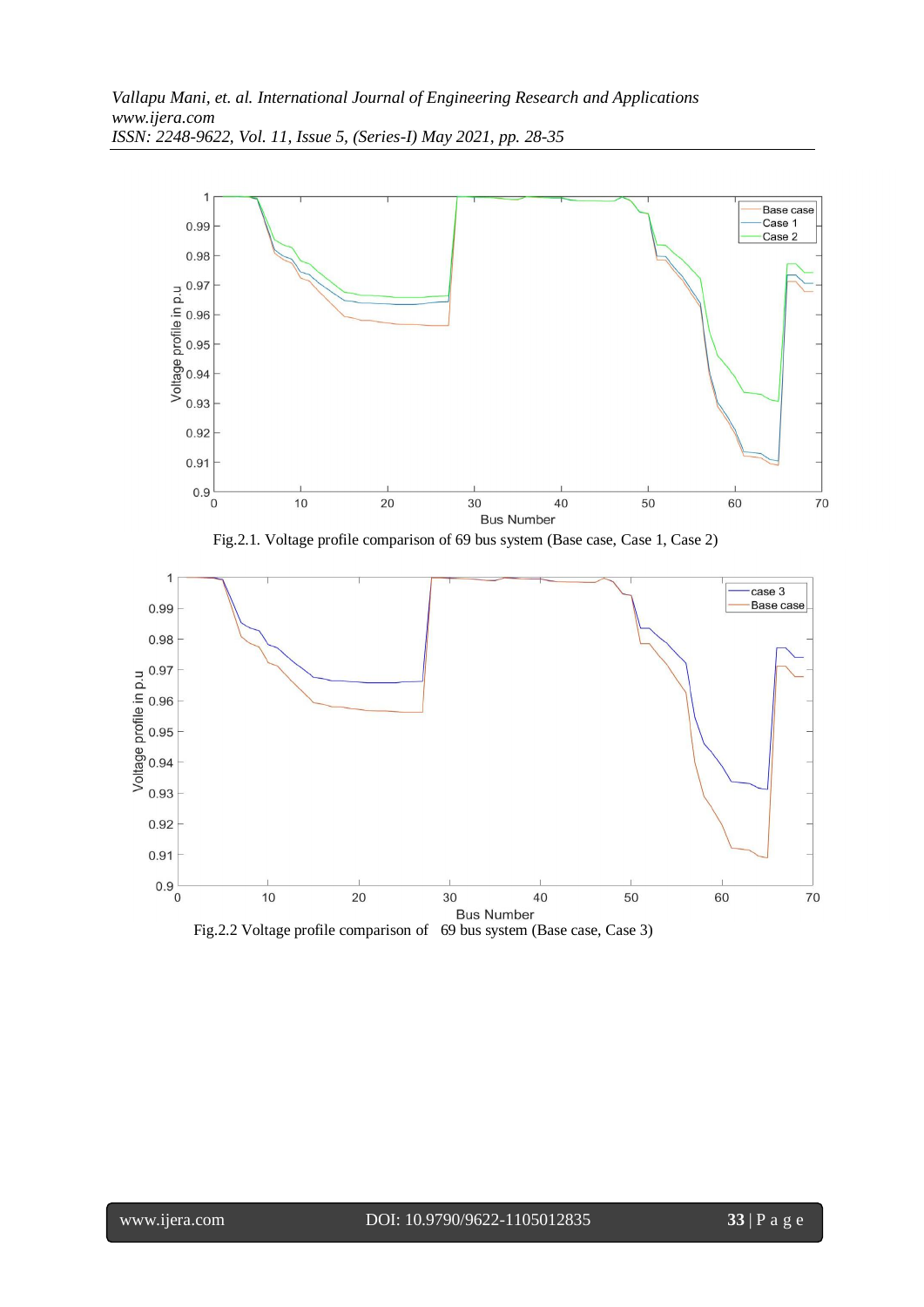

Fig.2.2 Voltage profile comparison of 69 bus system (Base case, Case 3)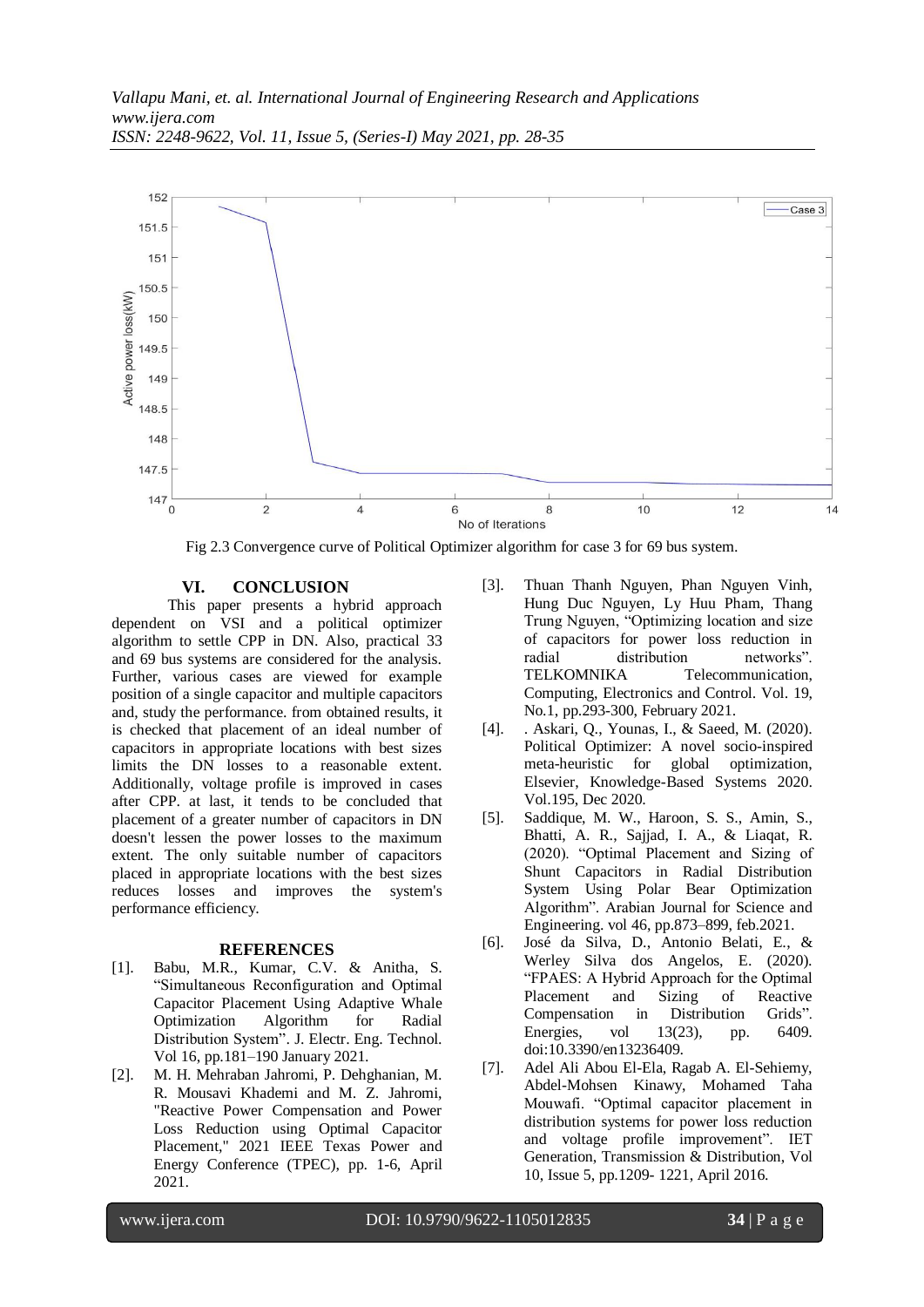

Fig 2.3 Convergence curve of Political Optimizer algorithm for case 3 for 69 bus system.

### **VI. CONCLUSION**

This paper presents a hybrid approach dependent on VSI and a political optimizer algorithm to settle CPP in DN. Also, practical 33 and 69 bus systems are considered for the analysis. Further, various cases are viewed for example position of a single capacitor and multiple capacitors and, study the performance. from obtained results, it is checked that placement of an ideal number of capacitors in appropriate locations with best sizes limits the DN losses to a reasonable extent. Additionally, voltage profile is improved in cases after CPP. at last, it tends to be concluded that placement of a greater number of capacitors in DN doesn't lessen the power losses to the maximum extent. The only suitable number of capacitors placed in appropriate locations with the best sizes reduces losses and improves the system's performance efficiency.

#### **REFERENCES**

- [1]. Babu, M.R., Kumar, C.V. & Anitha, S. "Simultaneous Reconfiguration and Optimal Capacitor Placement Using Adaptive Whale Optimization Algorithm for Radial Distribution System". J. Electr. Eng. Technol. Vol 16, pp.181–190 January 2021.
- [2]. M. H. Mehraban Jahromi, P. Dehghanian, M. R. Mousavi Khademi and M. Z. Jahromi, "Reactive Power Compensation and Power Loss Reduction using Optimal Capacitor Placement," 2021 IEEE Texas Power and Energy Conference (TPEC), pp. 1-6, April 2021.
- [3]. Thuan Thanh Nguyen, Phan Nguyen Vinh, Hung Duc Nguyen, Ly Huu Pham, Thang Trung Nguyen, "Optimizing location and size of capacitors for power loss reduction in radial distribution networks". TELKOMNIKA Telecommunication, Computing, Electronics and Control. Vol. 19, No.1, pp.293-300, February 2021.
- [4]. . Askari, Q., Younas, I., & Saeed, M. (2020). Political Optimizer: A novel socio-inspired meta-heuristic for global optimization, Elsevier, Knowledge-Based Systems 2020. Vol.195, Dec 2020.
- [5]. Saddique, M. W., Haroon, S. S., Amin, S., Bhatti, A. R., Sajjad, I. A., & Liaqat, R. (2020). "Optimal Placement and Sizing of Shunt Capacitors in Radial Distribution System Using Polar Bear Optimization Algorithm". Arabian Journal for Science and Engineering. vol 46, pp.873–899, feb.2021.
- [6]. José da Silva, D., Antonio Belati, E., & Werley Silva dos Angelos, E. (2020). "FPAES: A Hybrid Approach for the Optimal Placement and Sizing of Reactive Compensation in Distribution Grids". Energies, vol 13(23), pp. 6409. doi:10.3390/en13236409.
- [7]. Adel Ali Abou El-Ela, Ragab A. El-Sehiemy, Abdel-Mohsen Kinawy, Mohamed Taha Mouwafi. "Optimal capacitor placement in distribution systems for power loss reduction and voltage profile improvement". IET Generation, Transmission & Distribution, Vol 10, Issue 5, pp.1209- 1221, April 2016.